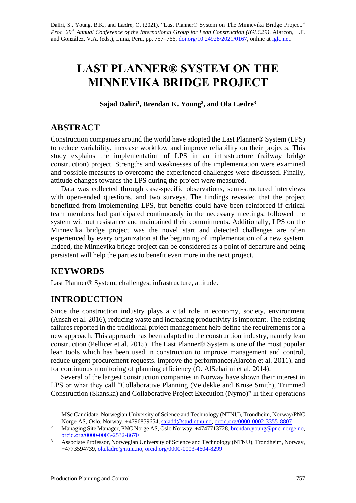# **LAST PLANNER® SYSTEM ON THE MINNEVIKA BRIDGE PROJECT**

**Sajad Daliri<sup>1</sup> , Brendan K. Young<sup>2</sup> , and Ola Lædre<sup>3</sup>**

# **ABSTRACT**

Construction companies around the world have adopted the Last Planner® System (LPS) to reduce variability, increase workflow and improve reliability on their projects. This study explains the implementation of LPS in an infrastructure (railway bridge construction) project. Strengths and weaknesses of the implementation were examined and possible measures to overcome the experienced challenges were discussed. Finally, attitude changes towards the LPS during the project were measured.

Data was collected through case-specific observations, semi-structured interviews with open-ended questions, and two surveys. The findings revealed that the project benefitted from implementing LPS, but benefits could have been reinforced if critical team members had participated continuously in the necessary meetings, followed the system without resistance and maintained their commitments. Additionally, LPS on the Minnevika bridge project was the novel start and detected challenges are often experienced by every organization at the beginning of implementation of a new system. Indeed, the Minnevika bridge project can be considered as a point of departure and being persistent will help the parties to benefit even more in the next project.

# **KEYWORDS**

Last Planner® System, challenges, infrastructure, attitude.

# **INTRODUCTION**

Since the construction industry plays a vital role in economy, society, environment (Ansah et al. 2016), reducing waste and increasing productivity is important. The existing failures reported in the traditional project management help define the requirements for a new approach. This approach has been adapted to the construction industry, namely lean construction (Pellicer et al. 2015). The Last Planner® System is one of the most popular lean tools which has been used in construction to improve management and control, reduce urgent procurement requests, improve the performance(Alarcón et al. 2011), and for continuous monitoring of planning efficiency (O. AlSehaimi et al. 2014).

Several of the largest construction companies in Norway have shown their interest in LPS or what they call "Collaborative Planning (Veidekke and Kruse Smith), Trimmed Construction (Skanska) and Collaborative Project Execution (Nymo)" in their operations

<sup>&</sup>lt;sup>1</sup> MSc Candidate, Norwegian University of Science and Technology (NTNU), Trondheim, Norway/PNC Norge AS, Oslo, Norway, +4796859654, [sajadd@stud.ntnu.no,](mailto:sajadd@stud.ntnu.no) [orcid.org/0000-0002-3355-8807](https://orcid.org/0000-0002-3355-8807)

<sup>&</sup>lt;sup>2</sup> Managing Site Manager, PNC Norge AS, Oslo Norway, +4747713728[, brendan.young@pnc-norge.](mailto:brendan.young@pnc-norge)[no,](mailto:brendan.young@pnc-norge.no) [orcid.org/0000-0003-2532-8670](https://orcid.org/0000-0003-2532-8670)

<sup>3</sup> Associate Professor, Norwegian University of Science and Technology (NTNU), Trondheim, Norway, +4773594739, [ola.ladre@ntnu.no,](mailto:ola.ladre@ntnu.no) [orcid.org/0000-0003-4604-8299](https://orcid.org/0000-0003-4604-8299)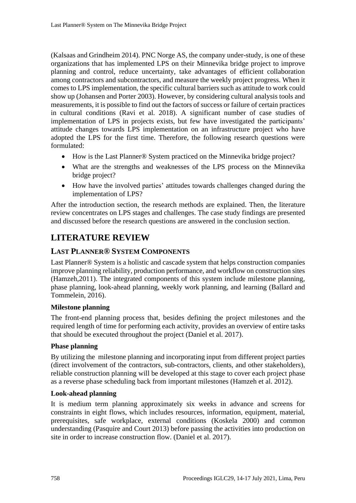(Kalsaas and Grindheim 2014). PNC Norge AS, the company under-study, is one of these organizations that has implemented LPS on their Minnevika bridge project to improve planning and control, reduce uncertainty, take advantages of efficient collaboration among contractors and subcontractors, and measure the weekly project progress. When it comes to LPS implementation, the specific cultural barriers such as attitude to work could show up (Johansen and Porter 2003). However, by considering cultural analysis tools and measurements, it is possible to find out the factors of success or failure of certain practices in cultural conditions (Ravi et al. 2018). A significant number of case studies of implementation of LPS in projects exists, but few have investigated the participants' attitude changes towards LPS implementation on an infrastructure project who have adopted the LPS for the first time. Therefore, the following research questions were formulated:

- How is the Last Planner<sup>®</sup> System practiced on the Minnevika bridge project?
- What are the strengths and weaknesses of the LPS process on the Minnevika bridge project?
- How have the involved parties' attitudes towards challenges changed during the implementation of LPS?

After the introduction section, the research methods are explained. Then, the literature review concentrates on LPS stages and challenges. The case study findings are presented and discussed before the research questions are answered in the conclusion section.

## **LITERATURE REVIEW**

### **LAST PLANNER® SYSTEM COMPONENTS**

Last Planner® System is a holistic and cascade system that helps construction companies improve planning reliability, production performance, and workflow on construction sites (Hamzeh,2011). The integrated components of this system include milestone planning, phase planning, look-ahead planning, weekly work planning, and learning (Ballard and Tommelein, 2016).

### **Milestone planning**

The front-end planning process that, besides defining the project milestones and the required length of time for performing each activity, provides an overview of entire tasks that should be executed throughout the project (Daniel et al. 2017).

### **Phase planning**

By utilizing the milestone planning and incorporating input from different project parties (direct involvement of the contractors, sub-contractors, clients, and other stakeholders), reliable construction planning will be developed at this stage to cover each project phase as a reverse phase scheduling back from important milestones (Hamzeh et al. 2012).

### **Look-ahead planning**

It is medium term planning approximately six weeks in advance and screens for constraints in eight flows, which includes resources, information, equipment, material, prerequisites, safe workplace, external conditions (Koskela 2000) and common understanding (Pasquire and Court 2013) before passing the activities into production on site in order to increase construction flow. (Daniel et al. 2017).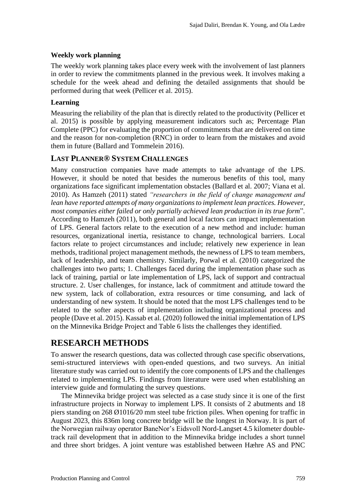#### **Weekly work planning**

The weekly work planning takes place every week with the involvement of last planners in order to review the commitments planned in the previous week. It involves making a schedule for the week ahead and defining the detailed assignments that should be performed during that week (Pellicer et al. 2015).

#### **Learning**

Measuring the reliability of the plan that is directly related to the productivity (Pellicer et al. 2015) is possible by applying measurement indicators such as; Percentage Plan Complete (PPC) for evaluating the proportion of commitments that are delivered on time and the reason for non-completion (RNC) in order to learn from the mistakes and avoid them in future (Ballard and Tommelein 2016).

### **LAST PLANNER® SYSTEM CHALLENGES**

Many construction companies have made attempts to take advantage of the LPS. However, it should be noted that besides the numerous benefits of this tool, many organizations face significant implementation obstacles (Ballard et al. 2007; Viana et al. 2010). As Hamzeh (2011) stated *"researchers in the field of change management and lean have reported attempts of many organizations to implement lean practices. However, most companies either failed or only partially achieved lean production in its true form*"*.*  According to Hamzeh (2011), both general and local factors can impact implementation of LPS. General factors relate to the execution of a new method and include: human resources, organizational inertia, resistance to change, technological barriers. Local factors relate to project circumstances and include; relatively new experience in lean methods, traditional project management methods, the newness of LPS to team members, lack of leadership, and team chemistry. Similarly, Porwal et al. (2010) categorized the challenges into two parts; 1. Challenges faced during the implementation phase such as lack of training, partial or late implementation of LPS, lack of support and contractual structure. 2. User challenges, for instance, lack of commitment and attitude toward the new system, lack of collaboration, extra resources or time consuming, and lack of understanding of new system. It should be noted that the most LPS challenges tend to be related to the softer aspects of implementation including organizational process and people (Dave et al. 2015). Kassab et al. (2020) followed the initial implementation of LPS on the Minnevika Bridge Project and Table 6 lists the challenges they identified.

### **RESEARCH METHODS**

To answer the research questions, data was collected through case specific observations, semi-structured interviews with open-ended questions, and two surveys. An initial literature study was carried out to identify the core components of LPS and the challenges related to implementing LPS. Findings from literature were used when establishing an interview guide and formulating the survey questions.

The Minnevika bridge project was selected as a case study since it is one of the first infrastructure projects in Norway to implement LPS. It consists of 2 abutments and 18 piers standing on 268 Ø1016/20 mm steel tube friction piles. When opening for traffic in August 2023, this 836m long concrete bridge will be the longest in Norway. It is part of the Norwegian railway operator BaneNor's Eidsvoll Nord-Langset 4.5 kilometer doubletrack rail development that in addition to the Minnevika bridge includes a short tunnel and three short bridges. A joint venture was established between Hæhre AS and PNC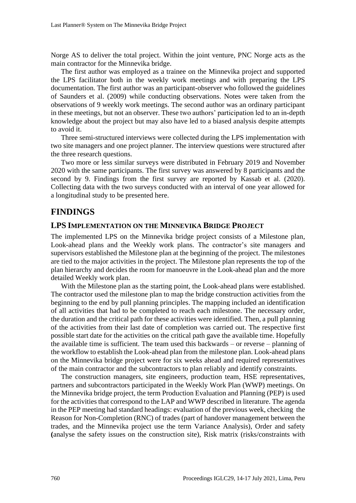Norge AS to deliver the total project. Within the joint venture, PNC Norge acts as the main contractor for the Minnevika bridge.

The first author was employed as a trainee on the Minnevika project and supported the LPS facilitator both in the weekly work meetings and with preparing the LPS documentation. The first author was an participant-observer who followed the guidelines of Saunders et al. (2009) while conducting observations. Notes were taken from the observations of 9 weekly work meetings. The second author was an ordinary participant in these meetings, but not an observer. These two authors' participation led to an in-depth knowledge about the project but may also have led to a biased analysis despite attempts to avoid it.

Three semi-structured interviews were collected during the LPS implementation with two site managers and one project planner. The interview questions were structured after the three research questions.

Two more or less similar surveys were distributed in February 2019 and November 2020 with the same participants. The first survey was answered by 8 participants and the second by 9. Findings from the first survey are reported by Kassab et al. (2020). Collecting data with the two surveys conducted with an interval of one year allowed for a longitudinal study to be presented here.

### **FINDINGS**

### **LPS IMPLEMENTATION ON THE MINNEVIKA BRIDGE PROJECT**

The implemented LPS on the Minnevika bridge project consists of a Milestone plan, Look-ahead plans and the Weekly work plans. The contractor's site managers and supervisors established the Milestone plan at the beginning of the project. The milestones are tied to the major activities in the project. The Milestone plan represents the top of the plan hierarchy and decides the room for manoeuvre in the Look-ahead plan and the more detailed Weekly work plan.

With the Milestone plan as the starting point, the Look-ahead plans were established. The contractor used the milestone plan to map the bridge construction activities from the beginning to the end by pull planning principles. The mapping included an identification of all activities that had to be completed to reach each milestone. The necessary order, the duration and the critical path for these activities were identified. Then, a pull planning of the activities from their last date of completion was carried out. The respective first possible start date for the activities on the critical path gave the available time. Hopefully the available time is sufficient. The team used this backwards – or reverse – planning of the workflow to establish the Look-ahead plan from the milestone plan. Look-ahead plans on the Minnevika bridge project were for six weeks ahead and required representatives of the main contractor and the subcontractors to plan reliably and identify constraints.

The construction managers, site engineers, production team, HSE representatives, partners and subcontractors participated in the Weekly Work Plan (WWP) meetings. On the Minnevika bridge project, the term Production Evaluation and Planning (PEP) is used for the activities that correspond to the LAP and WWP described in literature. The agenda in the PEP meeting had standard headings: evaluation of the previous week, checking the Reason for Non-Completion (RNC) of trades (part of handover management between the trades, and the Minnevika project use the term Variance Analysis), Order and safety **(**analyse the safety issues on the construction site), Risk matrix (risks/constraints with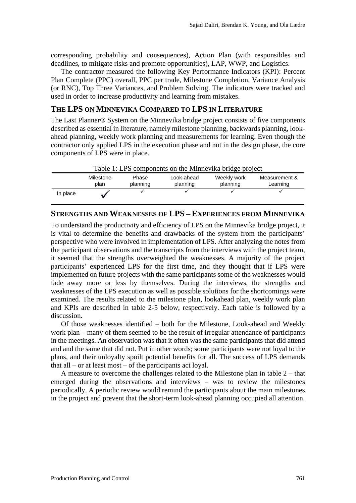corresponding probability and consequences), Action Plan (with responsibles and deadlines, to mitigate risks and promote opportunities), LAP, WWP, and Logistics.

The contractor measured the following Key Performance Indicators (KPI): Percent Plan Complete (PPC) overall, PPC per trade, Milestone Completion, Variance Analysis (or RNC), Top Three Variances, and Problem Solving. The indicators were tracked and used in order to increase productivity and learning from mistakes.

### **THE LPS ON MINNEVIKA COMPARED TO LPS IN LITERATURE**

The Last Planner® System on the Minnevika bridge project consists of five components described as essential in literature, namely milestone planning, backwards planning, lookahead planning, weekly work planning and measurements for learning. Even though the contractor only applied LPS in the execution phase and not in the design phase, the core components of LPS were in place.



### **STRENGTHS AND WEAKNESSES OF LPS – EXPERIENCES FROM MINNEVIKA**

To understand the productivity and efficiency of LPS on the Minnevika bridge project, it is vital to determine the benefits and drawbacks of the system from the participants' perspective who were involved in implementation of LPS. After analyzing the notes from the participant observations and the transcripts from the interviews with the project team, it seemed that the strengths overweighted the weaknesses. A majority of the project participants' experienced LPS for the first time, and they thought that if LPS were implemented on future projects with the same participants some of the weaknesses would fade away more or less by themselves. During the interviews, the strengths and weaknesses of the LPS execution as well as possible solutions for the shortcomings were examined. The results related to the milestone plan, lookahead plan, weekly work plan and KPIs are described in table 2-5 below, respectively. Each table is followed by a discussion.

Of those weaknesses identified – both for the Milestone, Look-ahead and Weekly work plan – many of them seemed to be the result of irregular attendance of participants in the meetings. An observation was that it often was the same participants that did attend and and the same that did not. Put in other words; some participants were not loyal to the plans, and their unloyalty spoilt potential benefits for all. The success of LPS demands that all – or at least most – of the participants act loyal.

A measure to overcome the challenges related to the Milestone plan in table 2 – that emerged during the observations and interviews – was to review the milestones periodically. A periodic review would remind the participants about the main milestones in the project and prevent that the short-term look-ahead planning occupied all attention.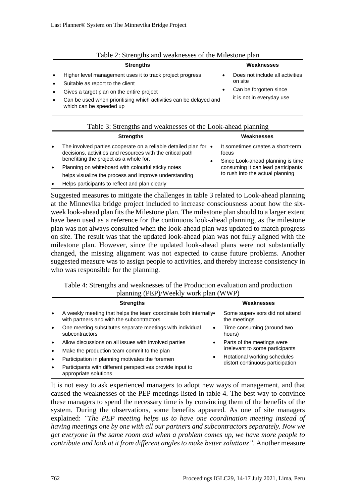|           | I done 2. Sucriguis and weaknesses of the Minestone plan                                                                                                                                                                                                                                                   |                                                                                                        |  |  |  |
|-----------|------------------------------------------------------------------------------------------------------------------------------------------------------------------------------------------------------------------------------------------------------------------------------------------------------------|--------------------------------------------------------------------------------------------------------|--|--|--|
|           | <b>Strengths</b>                                                                                                                                                                                                                                                                                           | Weaknesses                                                                                             |  |  |  |
|           | Higher level management uses it to track project progress<br>Suitable as report to the client<br>Gives a target plan on the entire project<br>Can be used when prioritising which activities can be delayed and<br>which can be speeded up<br>Table 3: Strengths and weaknesses of the Look-ahead planning | Does not include all activities<br>on site<br>Can be forgotten since<br>٠<br>it is not in everyday use |  |  |  |
|           | <b>Strengths</b>                                                                                                                                                                                                                                                                                           | Weaknesses                                                                                             |  |  |  |
| $\bullet$ | The involved parties cooperate on a reliable detailed plan for $\bullet$<br>decisions, activities and resources with the critical path<br>benefitting the project as a whole for.                                                                                                                          | It sometimes creates a short-term<br>focus                                                             |  |  |  |

|  | Table 2: Strengths and weaknesses of the Milestone plan |  |  |
|--|---------------------------------------------------------|--|--|
|  |                                                         |  |  |

- benefitting the project as a whole for. Planning on whiteboard with colourful sticky notes helps visualize the process and improve understanding
- Helps participants to reflect and plan clearly

Suggested measures to mitigate the challenges in table 3 related to Look-ahead planning at the Minnevika bridge project included to increase consciousness about how the sixweek look-ahead plan fits the Milestone plan. The milestone plan should to a larger extent have been used as a reference for the continuous look-ahead planning, as the milestone plan was not always consulted when the look-ahead plan was updated to match progress on site. The result was that the updated look-ahead plan was not fully aligned with the milestone plan. However, since the updated look-ahead plans were not substantially changed, the missing alignment was not expected to cause future problems. Another suggested measure was to assign people to activities, and thereby increase consistency in who was responsible for the planning.

Table 4: Strengths and weaknesses of the Production evaluation and production planning (PEP)/Weekly work plan (WWP)

|                        | $\Box$                                                                                                        |                                                                  |  |  |  |  |  |
|------------------------|---------------------------------------------------------------------------------------------------------------|------------------------------------------------------------------|--|--|--|--|--|
|                        | <b>Strengths</b>                                                                                              | Weaknesses                                                       |  |  |  |  |  |
| $\bullet$              | A weekly meeting that helps the team coordinate both internally.<br>with partners and with the subcontractors | Some supervisors did not attend<br>the meetings                  |  |  |  |  |  |
| $\bullet$              | One meeting substitutes separate meetings with individual<br>$\bullet$<br>subcontractors                      | Time consuming (around two<br>hours)                             |  |  |  |  |  |
| $\bullet$<br>$\bullet$ | Allow discussions on all issues with involved parties<br>٠<br>Make the production team commit to the plan     | Parts of the meetings were<br>irrelevant to some participants    |  |  |  |  |  |
| $\bullet$              | ٠<br>Participation in planning motivates the foremen                                                          | Rotational working schedules<br>distort continuous participation |  |  |  |  |  |
| $\bullet$              | Participants with different perspectives provide input to<br>appropriate solutions                            |                                                                  |  |  |  |  |  |

It is not easy to ask experienced managers to adopt new ways of management, and that caused the weaknesses of the PEP meetings listed in table 4. The best way to convince these managers to spend the necessary time is by convincing them of the benefits of the system. During the observations, some benefits appeared. As one of site managers explained: *"The PEP meeting helps us to have one coordination meeting instead of having meetings one by one with all our partners and subcontractors separately. Now we get everyone in the same room and when a problem comes up, we have more people to contribute and look at it from different angles to make better solutionsˮ*. Another measure

consuming it can lead participants to rush into the actual planning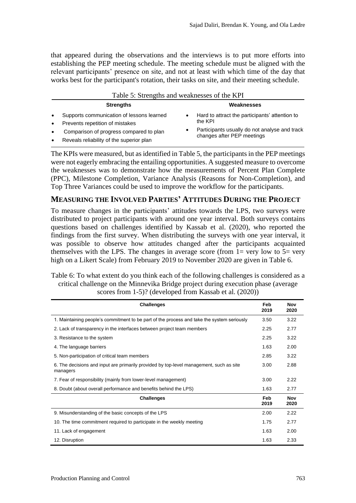that appeared during the observations and the interviews is to put more efforts into establishing the PEP meeting schedule. The meeting schedule must be aligned with the relevant participants' presence on site, and not at least with which time of the day that works best for the participant's rotation, their tasks on site, and their meeting schedule.

| Table 5: Strengths and weaknesses of the KPI |  |  |
|----------------------------------------------|--|--|
|                                              |  |  |

|           | <b>Strengths</b>                          | Weaknesses                                                                  |
|-----------|-------------------------------------------|-----------------------------------------------------------------------------|
| $\bullet$ | Supports communication of lessons learned | Hard to attract the participants' attention to                              |
| $\bullet$ | Prevents repetition of mistakes           | the KPI                                                                     |
| $\bullet$ | Comparison of progress compared to plan   | Participants usually do not analyse and track<br>changes after PEP meetings |
| $\bullet$ | Reveals reliability of the superior plan  |                                                                             |

The KPIs were measured, but as identified in Table 5, the participants in the PEP meetings were not eagerly embracing the entailing opportunities. A suggested measure to overcome the weaknesses was to demonstrate how the measurements of Percent Plan Complete (PPC), Milestone Completion, Variance Analysis (Reasons for Non-Completion), and Top Three Variances could be used to improve the workflow for the participants.

### **MEASURING THE INVOLVED PARTIES' ATTITUDES DURING THE PROJECT**

To measure changes in the participants' attitudes towards the LPS, two surveys were distributed to project participants with around one year interval. Both surveys contains questions based on challenges identified by Kassab et al. (2020), who reported the findings from the first survey. When distributing the surveys with one year interval, it was possible to observe how attitudes changed after the participants acquainted themselves with the LPS. The changes in average score (from  $1=$  very low to  $5=$  very high on a Likert Scale) from February 2019 to November 2020 are given in Table 6.

Table 6: To what extent do you think each of the following challenges is considered as a critical challenge on the Minnevika Bridge project during execution phase (average scores from 1-5)? (developed from Kassab et al. (2020))

| <b>Challenges</b>                                                                                   | Feb<br>2019 | Nov<br>2020 |
|-----------------------------------------------------------------------------------------------------|-------------|-------------|
| 1. Maintaining people's commitment to be part of the process and take the system seriously          | 3.50        | 3.22        |
| 2. Lack of transparency in the interfaces between project team members                              | 2.25        | 2.77        |
| 3. Resistance to the system                                                                         | 2.25        | 3.22        |
| 4. The language barriers                                                                            | 1.63        | 2.00        |
| 5. Non-participation of critical team members                                                       | 2.85        | 3.22        |
| 6. The decisions and input are primarily provided by top-level management, such as site<br>managers | 3.00        | 2.88        |
| 7. Fear of responsibility (mainly from lower-level management)                                      | 3.00        | 2.22        |
| 8. Doubt (about overall performance and benefits behind the LPS)                                    | 1.63        | 2.77        |
| <b>Challenges</b>                                                                                   | Feb<br>2019 | Nov<br>2020 |
| 9. Misunderstanding of the basic concepts of the LPS                                                | 2.00        | 2.22        |
| 10. The time commitment required to participate in the weekly meeting                               | 1.75        | 2.77        |
| 11. Lack of engagement                                                                              | 1.63        | 2.00        |
| 12. Disruption                                                                                      | 1.63        | 2.33        |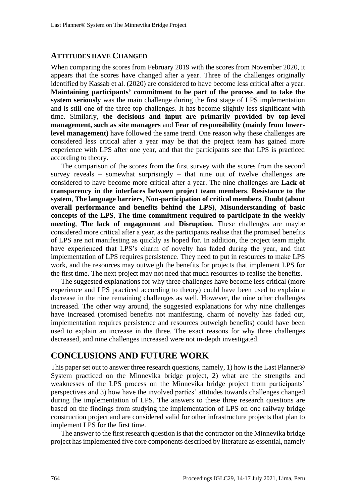#### **ATTITUDES HAVE CHANGED**

When comparing the scores from February 2019 with the scores from November 2020, it appears that the scores have changed after a year. Three of the challenges originally identified by Kassab et al. (2020) are considered to have become less critical after a year. **Maintaining participants' commitment to be part of the process and to take the system seriously** was the main challenge during the first stage of LPS implementation and is still one of the three top challenges. It has become slightly less significant with time. Similarly, **the decisions and input are primarily provided by top-level management, such as site managers** and **Fear of responsibility (mainly from lowerlevel management)** have followed the same trend. One reason why these challenges are considered less critical after a year may be that the project team has gained more experience with LPS after one year, and that the participants see that LPS is practiced according to theory.

The comparison of the scores from the first survey with the scores from the second survey reveals – somewhat surprisingly – that nine out of twelve challenges are considered to have become more critical after a year. The nine challenges are **Lack of transparency in the interfaces between project team members**, **Resistance to the system**, **The language barriers**, **Non-participation of critical members**, **Doubt (about overall performance and benefits behind the LPS)**, **Misunderstanding of basic concepts of the LPS**, **The time commitment required to participate in the weekly meeting**, **The lack of engagement** and **Disruption**. These challenges are maybe considered more critical after a year, as the participants realise that the promised benefits of LPS are not manifesting as quickly as hoped for. In addition, the project team might have experienced that LPS's charm of novelty has faded during the year, and that implementation of LPS requires persistence. They need to put in resources to make LPS work, and the resources may outweigh the benefits for projects that implement LPS for the first time. The next project may not need that much resources to realise the benefits.

The suggested explanations for why three challenges have become less critical (more experience and LPS practiced according to theory) could have been used to explain a decrease in the nine remaining challenges as well. However, the nine other challenges increased. The other way around, the suggested explanations for why nine challenges have increased (promised benefits not manifesting, charm of novelty has faded out, implementation requires persistence and resources outweigh benefits) could have been used to explain an increase in the three. The exact reasons for why three challenges decreased, and nine challenges increased were not in-depth investigated.

### **CONCLUSIONS AND FUTURE WORK**

This paper set out to answer three research questions, namely, 1) how is the Last Planner® System practiced on the Minnevika bridge project, 2) what are the strengths and weaknesses of the LPS process on the Minnevika bridge project from participants' perspectives and 3) how have the involved parties' attitudes towards challenges changed during the implementation of LPS. The answers to these three research questions are based on the findings from studying the implementation of LPS on one railway bridge construction project and are considered valid for other infrastructure projects that plan to implement LPS for the first time.

The answer to the first research question is that the contractor on the Minnevika bridge project has implemented five core components described by literature as essential, namely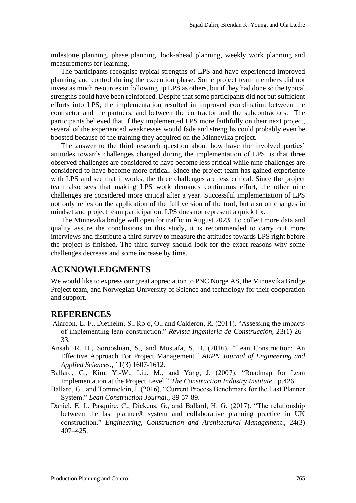milestone planning, phase planning, look-ahead planning, weekly work planning and measurements for learning.

The participants recognise typical strengths of LPS and have experienced improved planning and control during the execution phase. Some project team members did not invest as much resources in following up LPS as others, but if they had done so the typical strengths could have been reinforced. Despite that some participants did not put sufficient efforts into LPS, the implementation resulted in improved coordination between the contractor and the partners, and between the contractor and the subcontractors. The participants believed that if they implemented LPS more faithfully on their next project, several of the experienced weaknesses would fade and strengths could probably even be boosted because of the training they acquired on the Minnevika project.

The answer to the third research question about how have the involved parties' attitudes towards challenges changed during the implementation of LPS, is that three observed challenges are considered to have become less critical while nine challenges are considered to have become more critical. Since the project team has gained experience with LPS and see that it works, the three challenges are less critical. Since the project team also sees that making LPS work demands continuous effort, the other nine challenges are considered more critical after a year. Successful implementation of LPS not only relies on the application of the full version of the tool, but also on changes in mindset and project team participation. LPS does not represent a quick fix.

The Minnevika bridge will open for traffic in August 2023. To collect more data and quality assure the conclusions in this study, it is recommended to carry out more interviews and distribute a third survey to measure the attitudes towards LPS right before the project is finished. The third survey should look for the exact reasons why some challenges decrease and some increase by time.

### **ACKNOWLEDGMENTS**

We would like to express our great appreciation to PNC Norge AS, the Minnevika Bridge Project team, and Norwegian University of Science and technology for their cooperation and support.

### **REFERENCES**

- Alarcón, L. F., Diethelm, S., Rojo, O., and Calderón, R. (2011). "Assessing the impacts of implementing lean construction." *Revista Ingeniería de Construcción*, 23(1) 26– 33.
- Ansah, R. H., Sorooshian, S., and Mustafa, S. B. (2016). "Lean Construction: An Effective Approach For Project Management." *ARPN Journal of Engineering and Applied Sciences.,* 11(3) 1607-1612.
- Ballard, G., Kim, Y.-W., Liu, M., and Yang, J. (2007). "Roadmap for Lean Implementation at the Project Level." *The Construction Industry Institute.,* p.426
- Ballard, G., and Tommelein, I. (2016). "Current Process Benchmark for the Last Planner System." *Lean Construction Journal.,* 89 57-89.
- Daniel, E. I., Pasquire, C., Dickens, G., and Ballard, H. G. (2017). "The relationship between the last planner® system and collaborative planning practice in UK construction." *Engineering, Construction and Architectural Management*., 24(3) 407–425.